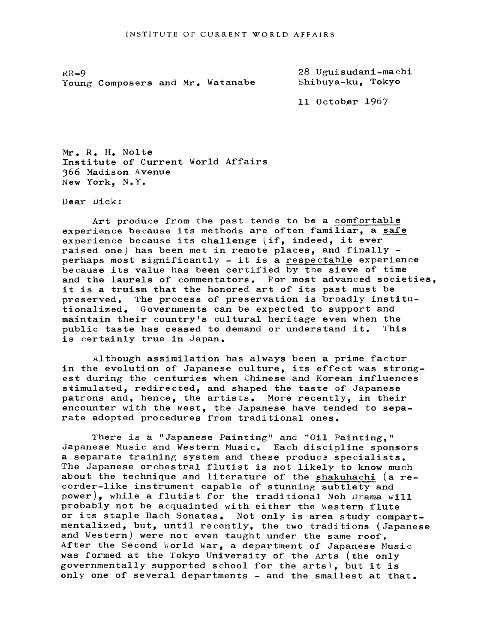$RR-9$ 

Young Composers and Mr. Watanabe

28 Ugui sudani-ma chi Shibuya-ku, Tokyo

ii October 1967

Mr. R. H. Nolte Institute of Current World Affairs 366 Madison Avenue New York, N.Y.

Dear Dick:

Art produce from the past tends to be a comfortable experience because its methods are often familiar, a safe experience because its challenge (if, indeed, it ever raised one) has been met in remote places, and finallyperhaps most significantly- it is a respectable experience because its value has been certified by the sieve of time and the laurels of commentators. For most advanced societies, it is a truism that the honored art of its past must be preserved. The process of preservation is broadly institutionalized. Governments can be expected to support and maintain their country's cultural heritage even when the public taste has ceased to demand or understand it. This is certainly true in Japan.

Although assimilation has always been a prime factor in the evolution of Japanese culture, its effect was strongest during the centuries when Chinese and Korean influences stimulated, redirected, and shaped the taste of Japanese patrons and, hence, the artists. More recently, in their encounter with the West, the Japanese have tended to separate adopted procedures from traditional ones.

There is a "Japanese Painting" and "Oil Painting," Japanese Music and Western Music. Each discipline sponsors a separate training system and these produce specialists. The Japanese orchestral flutist is not likely to know much about the technique and literature of the shakuhachi (a recorder-like instrument capable of stunning subtlety and power). while a flutist for the traditional Noh Drama will probably not be acquainted with either the Western flute or its staple Bach Sonatas. Not only is area study compartmentalized, but, until recently, the two traditions (Japanese and Western) were not even taught under the same roof. After the Second World War, a department of Japanese Music was formed at the Tokyo University of the Arts (the only governmentally supported school for the arts), but it is only one of several departments - and the smallest at that.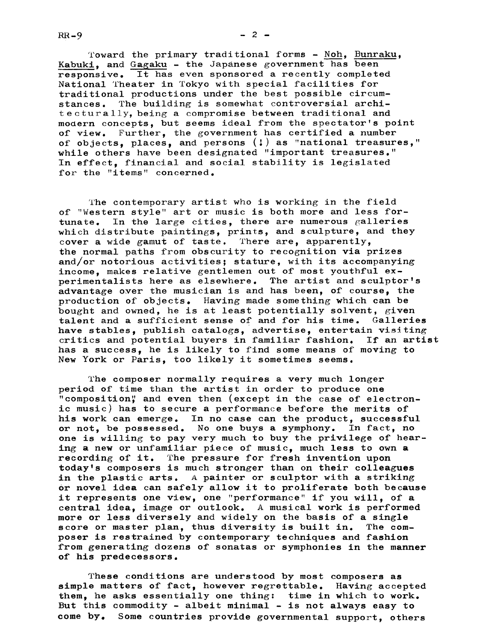$RR - 9$ 

Toward the primary traditional forms - Noh, Bunraku, Kabuki, and Gagaku - the Japanese government has been

responsive. It has even sponsored a recently completed National 'lheater in Tokyo with special facilities for traditional productions under the best possible circumstances. The building is somewhat controversial architecturally, being a compromise between traditional and modern concepts, but seems ideal from the spectator's point of view. Further, the government has certified a number of objects, places, and persons  $(!)$  as "national treasures," while others have been designated "important treasures." In effect, financial and social stability is legislated for the "items" concerned.

'fhe contemporary artist who is working in the field of "Western style" art or music is both more and less fortunate. In the large cities, there are numerous galleries which distribute paintings, prints, and sculpture, and they cover a wide gamut of taste. There are, apparently, the normal paths from obscurity to recognition via prizes and/or notorious activities; stature, with its accompanying income, makes relative gentlemen out of most youthful experimentalists here as elsewhere. The artist and sculptor's advantage over the musician is and has been, of course, the production of objects. Having made something which can be bought and owned, he is at least potentially solvent, given talent and a sufficient sense of and for his time. Galleries have stables, publish catalogs, advertise, entertain visiting<br>critics and potential buyers in familiar fashion. If an artist critics and potential buyers in familiar fashion. has a success, he is likely to find some means of moving to New York or Paris, too likely it sometimes seems.

The composer normally requires a very much longer period of time than the artist in order to produce one "composition" and even then (except in the case of electronic music) has to secure a performance before the merits of his work can emerge. In no case can the product, successful or not, be possessed. No one buys a symphony. In fact, no one is willing to pay very much to buy the privilege of hearing a new or unfamiliar piece of music, much less to own a recording of it. The pressure for fresh invention upon today's composers is much stronger than on their colleagues in the plastic arts. A painter or sculptor with a striking or novel idea can safely allow it to proliferate both because it represents one view, one "performance" if you will, of a central idea, image or outlook. A musical work is performed more or less diversely and widely on the basis of a single score or master plan, thus diversity is built in. The composer is restrained by contemporary techniques and fashion from generating dozens of sonatas or symphonies in the manner of his predecessors.

These conditions are understood by most composers as simple matters of fact, however regrettable. Having accepted them, he asks essentially one thing: time in which to work. But this commodity - albeit minimal - is not always easy to come by. Some countries provide governmental support, others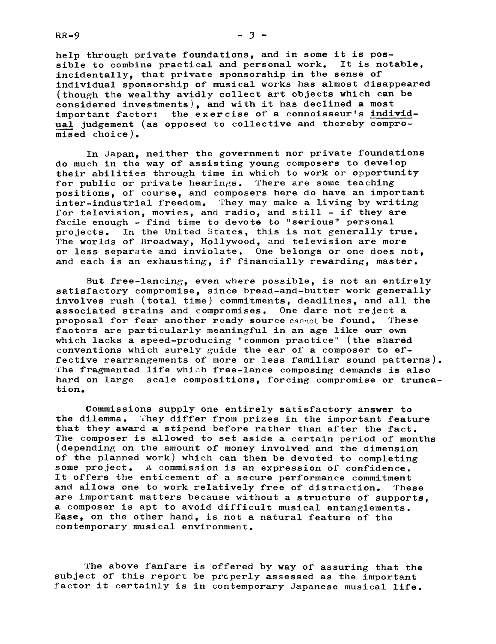$RR-9$ 

help through private foundations, and in some it is possible to combine practical and personal work. It is notable, incidentally, that private sponsorship in the sense of individual sponsorship of musical works has almost disappeared (though the wealthy avidly collect art objects which can be considered investments), and with it has declined a most important factor: the exercise of a connoisseur's individual judgement (as opposed to collective and thereby compromised choice).

In Japan, neither the government nor private foundations do much in the way of assisting young composers to develop their abilities through time in which to work or opportunity for public or private hearings. There are some teaching positions, of course, and composers here do have an important inter-industrial freedom. They may make a living by writing for television, movies, and radio, and still - if they are facile enough- find time to devote to "serious" personal projects. In the United States, this is not generally true. The worlds of Broadway, Hollywood, and television are more or less separate and inviolate. One belongs or one does not, and each is an exhausting, if financially rewarding, master.

But free-lancing, even where possible, is not an entirely satisfactory compromise, since bread-and-butter work generally involves rush (total time) commitments, deadlines, and all the associated strains and compromises. One dare not reject a proposal for fear another ready source cannot be found. These factors are particularly meaningful in an age like our own which lacks a speed-producing "common practice" (the shared conventions which surely guide the ear of a composer to effective rearrangements of more or less familiar sound patterns). The fragmented life which free-lance composing demands is also hard on large scale compositions, forcing compromise or truncation.

Commissions supply one entirely satisfactory answer to the dilemma. They differ from prizes in the important feature that they award a stipend before rather than after the fact. The composer is allowed to set aside a certain period of months (depending on the amount of money involved and the dimension of the planned work) which can then be devoted to completing some project. A commission is an expression of confidence. It offers the enticement of a secure performance commitment and allows one to work relatively free of distraction. These are important matters because without a structure of supports, a composer is apt to avoid difficult musical entanglements. Ease, on the other hand, is not a natural feature of the contemporary musical environment.

The above fanfare is offered by way of assuring that the subject of this report be prcperly assessed as the important factor it certainly is in contemporary Japanese musical life.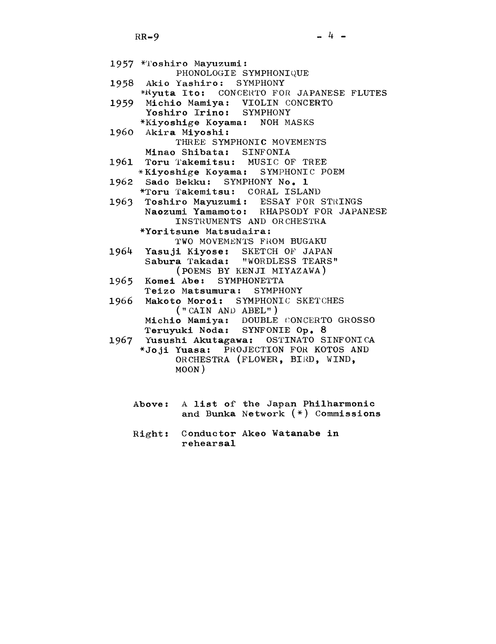|      | 1957 *Toshiro Mayuzumi:                                                |
|------|------------------------------------------------------------------------|
|      | PHONOLOGIE SYMPHONIQUE                                                 |
| 1958 | Akio Yashiro: SYMPHONY                                                 |
|      | *Ryuta Ito: CONCERTO FOR JAPANESE FLUTES                               |
| 1959 | Michio Mamiya: VIOLIN CONCERTO                                         |
|      | Yoshiro Irino: SYMPHONY                                                |
|      | *Kiyoshige Koyama: NOH MASKS                                           |
|      | 1960 Akira Miyoshi:                                                    |
|      | THREE SYMPHONIC MOVEMENTS                                              |
|      | Minao Shibata: SINFONIA                                                |
| 1961 | Toru Takemitsu: MUSIC OF TREE                                          |
|      | *Kiyoshige Koyama: SYMPHONIC POEM                                      |
| 1962 | Sado Bekku: SYMPHONY No. 1                                             |
|      | *Toru Takemitsu: CORAL ISLAND                                          |
|      | 1963 Toshiro Mayuzumi: ESSAY FOR STRINGS                               |
|      | Naozumi Yamamoto: RHAPSODY FOR JAPANESE                                |
|      | INSTRUMENTS AND ORCHESTRA                                              |
|      | *Yoritsune Matsudaira:                                                 |
|      | TWO MOVEMENTS FROM BUGAKU                                              |
|      | 1964 Yasuji Kiyose: SKETCH OF JAPAN                                    |
|      | Sabura Takada: "WORDLESS TEARS"                                        |
|      | (POEMS BY KENJI MIYAZAWA)                                              |
| 1965 | Komei Abe: SYMPHONETTA                                                 |
|      | Teizo Matsumura: SYMPHONY                                              |
| 1966 | Makoto Moroi: SYMPHONIC SKETCHES                                       |
|      | ("CAIN AND ABEL")                                                      |
|      | Michio Mamiya: DOUBLE CONCERTO GROSSO<br>Teruyuki Noda: SYNFONIE Op. 8 |
|      |                                                                        |
| 1967 | Yusushi Akutagawa: OSTINATO SINFONICA                                  |
|      | *Joji Yuasa: PROJECTION FOR KOTOS AND                                  |
|      | ORCHESTRA (FLOWER, BIRD, WIND,                                         |
|      | MOON)                                                                  |
|      |                                                                        |
|      |                                                                        |

- Above: A list of the Japan Philharmonic and Bunka Network  $(*)$  Commissions
- Right: Conductor Akeo Watanabe in rehearsal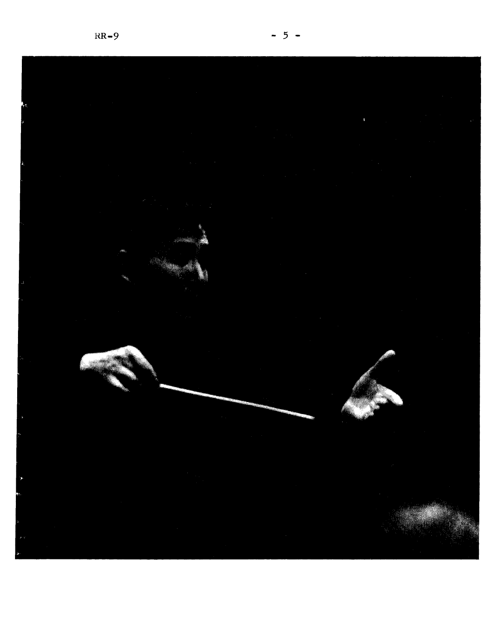

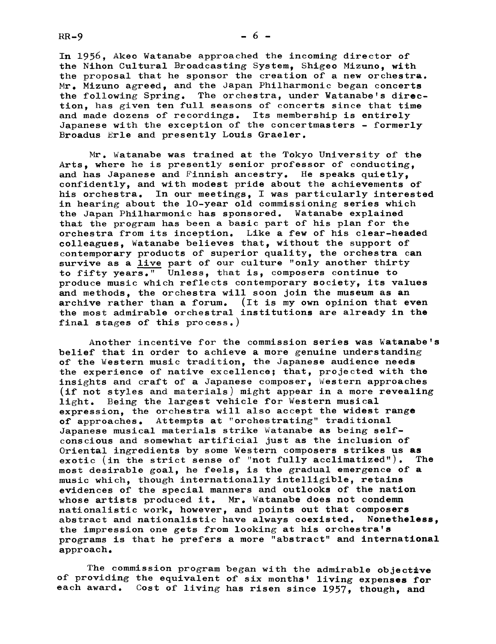$RR-9$ 

In 1956, Akeo Watanabe approached the incoming director of the Nihon Cultural Broadcasting System, Shigeo Mizuno, with the proposal that he sponsor the creation of a new orchestra. Mr. Mizuno agreed, and the Japan Philharmonic began concerts the following Spring. The orchestra, under Watanabe's direction, has given ten full seasons of concerts since that time and made dozens of recordings. Its membership is entirely Japanese with the exception of the concertmasters - formerly Broadus Erle and presently Louis Graeler.

Mr. Watanabe was trained at the Tokyo University of the Arts, where he is presently senior professor of conducting, and has Japanese and Finnish ancestry. He speaks quietly, confidently, and with modest pride about the achievements of<br>his orchestra. In our meetings. I was particularly interest In our meetings, I was particularly interested in hearing about the 10-year old commissioning series which the Japan Philharmonic has sponsored. Watanabe explained that the program has been a basic part of his plan for the orchestra from its inception. Like a few of his clear-headed colleagues, Watanabe believes that, without the support of contemporary products of superior quality, the orchestra can survive as a live part of our culture "only another thirty to fifty years." Unless, that is, composers continue to produce music which reflects contemporary society, its values and methods, the orchestra will soon join the museum as an archive rather than a forum. (It is my own opinion that even the most admirable orchestral institutions are already in the final stages of this process.)

Another incentive for the commission series was Watanabe's belief that in order to achieve a more genuine understanding of the Western music tradition, the Japanese audience needs the experience of native excellence; that, projected with the insights and craft of a Japanese composer, Western approaches (if not styles and materials) might appear in a more revealing light. Being the largest vehicle for Western musical expression, the orchestra will also accept the widest range of approaches. Attempts at "orchestrating" traditional Japanese musical materials strike Watanabe as being selfconscious and somewhat artificial just as the inclusion of Oriental ingredients by some Western composers strikes us as  $\text{exotic (in the strict sense of "not fully acclimatized").}$  The exotic (in the strict sense of "not fully acclimatized"). most desirable goal, he feels, is the gradual emergence of a music which, though internationally intelligible, retains evidences of the special manners and outlooks of the nation whose artists produced it. Mr. Watanabe does not condemn nationalistic work, however, and points out that composers<br>abstract and nationalistic have always coexisted. Nonetheless. abstract and nationalistic have always coexisted. the impression one gets from looking at his orchestra's programs is that he prefers a more "abstract" and international approach.

The commission program began with the admirable objective of providing the equivalent of six months' living expenses for each award. Cost of living has risen since 1957, though, and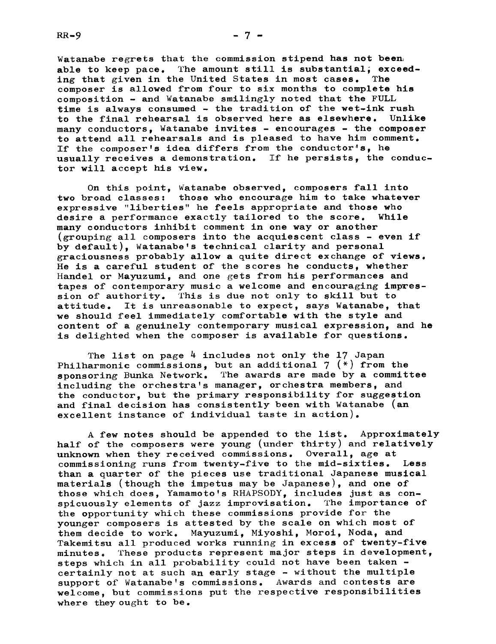$RR-9$  - 7

Watanabe regrets that the commission stipend has not been. able to keep pace. The amount still is substantial, exceed-<br>ing that given in the United States in most cases. The ing that given in the United States in most cases. composer is allowed from four to six months to complete his composition- and Watanabe smilingly noted that the FULL time is always consumed - the tradition of the wet-ink rush to the final rehearsal is observed here as elsewhere. Unlike many conductors, Watanabe invites - encourages - the composer to attend all rehearsals and is pleased to have him comment, If the composer's idea differs from the conductor's. he usually receives a demonstration. If he persists, the conductor will accept his view.

On this point, Watanabe observed, composers fall into two broad classes: those who encourage him to take whatever expressive "liberties" he feels appropriate and those who desire a performance exactly tailored to the score. While many conductors inhibit comment in one way or another (grouping all composers into the acquiescent class - even if by default), Watanabe's technical clarity and personal graciousness probably allow a quite direct exchange of views. He is a careful student of the scores he conducts, whether Handel or Mayuzumi, and one gets from his performances and tapes of contemporary music a welcome and encouraging impression of authority. This is due not only to skill but to attitude. It is unreasonable to expect. says Watanabe. It is unreasonable to expect, says Watanabe, that we should feel immediately comfortable with the style and content of a genuinely contemporary musical expression, and he is delighted when the composer is available for questions.

The list on page  $4$  includes not only the 17 Japan Philharmonic commissions, but an additional  $7$  (\*) from the sponsoring Bunka Network. The awards are made by a committee including the orchestra's manager, orchestra members, and the conductor, but the primary responsibility for suggestion and final decision has consistently been with Watanabe (an excellent instance of individual taste in action).

A few notes should be appended to the list. Approximately half of the composers were young (under thirty) and relatively unknown when they received commissions. Overall, age at commissioning runs from twenty-five to the mid-sixties. Less than a quarter of the pieces use traditional Japanese musical materials (though the impetus may be Japanese), and one of those which does, Yamamoto's RHAPSODY, includes just as conspicuously elements of jazz improvisation. The importance of the opportunity which these commissions provide for the younger composers is attested by the scale on which most of them decide to work. Mayuzumi, Miyoshi, Moroi, Noda, and Takemitsu all produced works running in excess of twenty-five minutes. These products represent major steps in development, steps which in all probability could not have been taken certainly not at such an early stage  $-$  without the multiple support of Watanabe's commissions. Awards and contests are welcome, but commissions put the respective responsibilities where they ought to be.